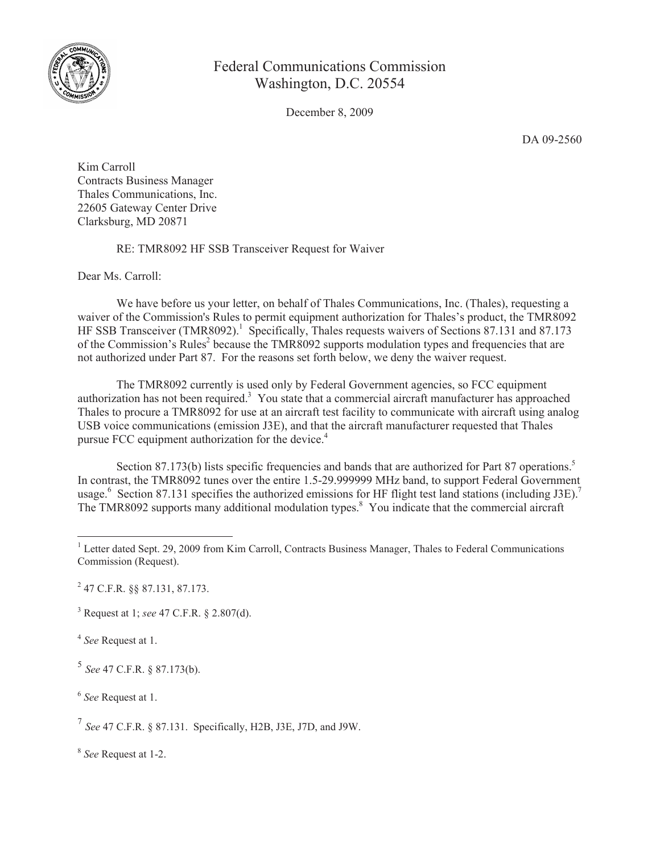

## Federal Communications Commission Washington, D.C. 20554

December 8, 2009

DA 09-2560

Kim Carroll Contracts Business Manager Thales Communications, Inc. 22605 Gateway Center Drive Clarksburg, MD 20871

RE: TMR8092 HF SSB Transceiver Request for Waiver

Dear Ms. Carroll:

We have before us your letter, on behalf of Thales Communications, Inc. (Thales), requesting a waiver of the Commission's Rules to permit equipment authorization for Thales's product, the TMR8092 HF SSB Transceiver (TMR8092).<sup>1</sup> Specifically, Thales requests waivers of Sections 87.131 and 87.173 of the Commission's Rules<sup>2</sup> because the TMR8092 supports modulation types and frequencies that are not authorized under Part 87. For the reasons set forth below, we deny the waiver request.

The TMR8092 currently is used only by Federal Government agencies, so FCC equipment authorization has not been required.<sup>3</sup> You state that a commercial aircraft manufacturer has approached Thales to procure a TMR8092 for use at an aircraft test facility to communicate with aircraft using analog USB voice communications (emission J3E), and that the aircraft manufacturer requested that Thales pursue FCC equipment authorization for the device.<sup>4</sup>

Section 87.173(b) lists specific frequencies and bands that are authorized for Part 87 operations.<sup>5</sup> In contrast, the TMR8092 tunes over the entire 1.5-29.999999 MHz band, to support Federal Government usage.<sup>6</sup> Section 87.131 specifies the authorized emissions for HF flight test land stations (including J3E).<sup>7</sup> The TMR8092 supports many additional modulation types.<sup>8</sup> You indicate that the commercial aircraft

2 47 C.F.R. §§ 87.131, 87.173.

<sup>3</sup> Request at 1; *see* 47 C.F.R. § 2.807(d).

4 *See* Request at 1.

5 *See* 47 C.F.R. § 87.173(b).

6 *See* Request at 1.

7 *See* 47 C.F.R. § 87.131. Specifically, H2B, J3E, J7D, and J9W.

8 *See* Request at 1-2.

<sup>&</sup>lt;sup>1</sup> Letter dated Sept. 29, 2009 from Kim Carroll, Contracts Business Manager, Thales to Federal Communications Commission (Request).